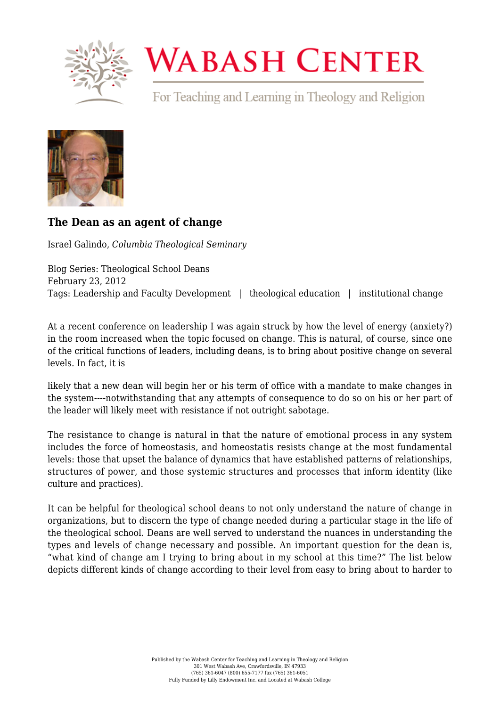

## **WABASH CENTER**

For Teaching and Learning in Theology and Religion



## **[The Dean as an agent of change](https://www.wabashcenter.wabash.edu/2012/02/the-dean-as-an-agent-of-change/)**

Israel Galindo, *Columbia Theological Seminary*

Blog Series: Theological School Deans February 23, 2012 Tags: Leadership and Faculty Development | theological education | institutional change

At a recent conference on leadership I was again struck by how the level of energy (anxiety?) in the room increased when the topic focused on change. This is natural, of course, since one of the critical functions of leaders, including deans, is to bring about positive change on several levels. In fact, it is

likely that a new dean will begin her or his term of office with a mandate to make changes in the system----notwithstanding that any attempts of consequence to do so on his or her part of the leader will likely meet with resistance if not outright sabotage.

The resistance to change is natural in that the nature of emotional process in any system includes the force of homeostasis, and homeostatis resists change at the most fundamental levels: those that upset the balance of dynamics that have established patterns of relationships, structures of power, and those systemic structures and processes that inform identity (like culture and practices).

It can be helpful for theological school deans to not only understand the nature of change in organizations, but to discern the type of change needed during a particular stage in the life of the theological school. Deans are well served to understand the nuances in understanding the types and levels of change necessary and possible. An important question for the dean is, "what kind of change am I trying to bring about in my school at this time?" The list below depicts different kinds of change according to their level from easy to bring about to harder to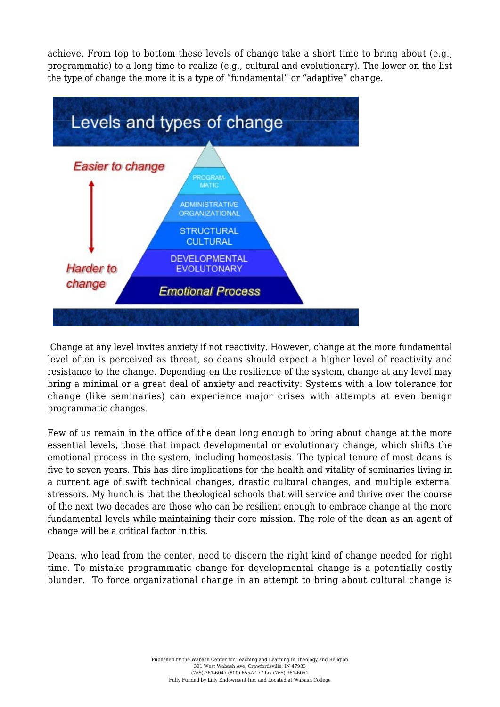achieve. From top to bottom these levels of change take a short time to bring about (e.g., programmatic) to a long time to realize (e.g., cultural and evolutionary). The lower on the list the type of change the more it is a type of "fundamental" or "adaptive" change.



 Change at any level invites anxiety if not reactivity. However, change at the more fundamental level often is perceived as threat, so deans should expect a higher level of reactivity and resistance to the change. Depending on the resilience of the system, change at any level may bring a minimal or a great deal of anxiety and reactivity. Systems with a low tolerance for change (like seminaries) can experience major crises with attempts at even benign programmatic changes.

Few of us remain in the office of the dean long enough to bring about change at the more essential levels, those that impact developmental or evolutionary change, which shifts the emotional process in the system, including homeostasis. The typical tenure of most deans is five to seven years. This has dire implications for the health and vitality of seminaries living in a current age of swift technical changes, drastic cultural changes, and multiple external stressors. My hunch is that the theological schools that will service and thrive over the course of the next two decades are those who can be resilient enough to embrace change at the more fundamental levels while maintaining their core mission. The role of the dean as an agent of change will be a critical factor in this.

Deans, who lead from the center, need to discern the right kind of change needed for right time. To mistake programmatic change for developmental change is a potentially costly blunder. To force organizational change in an attempt to bring about cultural change is